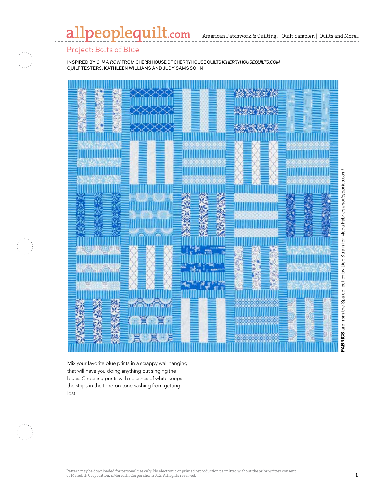# allpeoplequilt.com

American Patchwork & Quilting, | Quilt Sampler, | Quilts and More.

#### Project: Bolts of Blue

inspired by *3 in a Row* from cherri house of cherry house quilts (*cherryhousequilts.com*) quilt testers: Kathleen Williams and Judy Sams SOHN



Mix your favorite blue prints in a scrappy wall hanging that will have you doing anything but singing the blues. Choosing prints with splashes of white keeps the strips in the tone-on-tone sashing from getting lost.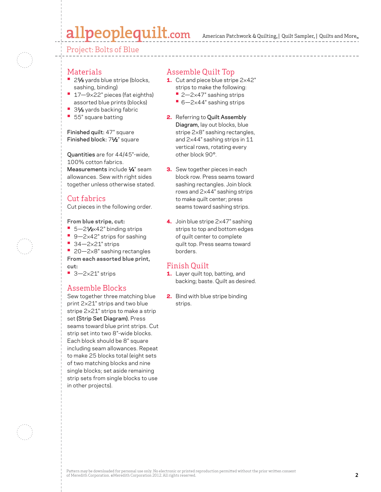# allpeoplequilt.com

Project: Bolts of Blue

#### Materials

- 21⁄8 yards blue stripe (blocks, sashing, binding)
- **•**  17—9×22" pieces (fat eighths) assorted blue prints (blocks)
- 31⁄8 yards backing fabric
- **•**  55" square batting

#### Finished quilt: 47" square Finished block: 71⁄2" square

Quantities are for 44/45"-wide, 100% cotton fabrics. Measurements include  $\frac{1}{4}$ " seam allowances. Sew with right sides together unless otherwise stated.

## Cut fabrics

Cut pieces in the following order.

**From blue stripe, cut:**

- 5-21⁄2×42" binding strips
- 9-2×42" strips for sashing
- **•**  34—2×21" strips

■ 20-2×8" sashing rectangles **From each assorted blue print, cut:**

**•**  3—2×21" strips

## Assemble Blocks

Sew together three matching blue print 2×21" strips and two blue stripe 2×21" strips to make a strip set (Strip Set Diagram). Press seams toward blue print strips. Cut strip set into two 8"-wide blocks. Each block should be 8" square including seam allowances. Repeat to make 25 blocks total (eight sets of two matching blocks and nine single blocks; set aside remaining strip sets from single blocks to use in other projects).

### Assemble Quilt Top

- 1. Cut and piece blue stripe  $2\times 42"$ 
	- strips to make the following:
	- **•** 2—2×47" sashing strips
	- **•** 6—2×44" sashing strips
- 2. Referring to Quilt Assembly Diagram, lay out blocks, blue stripe 2×8" sashing rectangles, and 2×44" sashing strips in 11 vertical rows, rotating every other block 90°.
- **3.** Sew together pieces in each block row. Press seams toward sashing rectangles. Join block rows and 2×44" sashing strips to make quilt center; press seams toward sashing strips.
- 4. Join blue stripe 2×47" sashing strips to top and bottom edges of quilt center to complete quilt top. Press seams toward borders.

## Finish Quilt

- 1. Layer quilt top, batting, and backing; baste. Quilt as desired.
- 2. Bind with blue stripe binding strips.